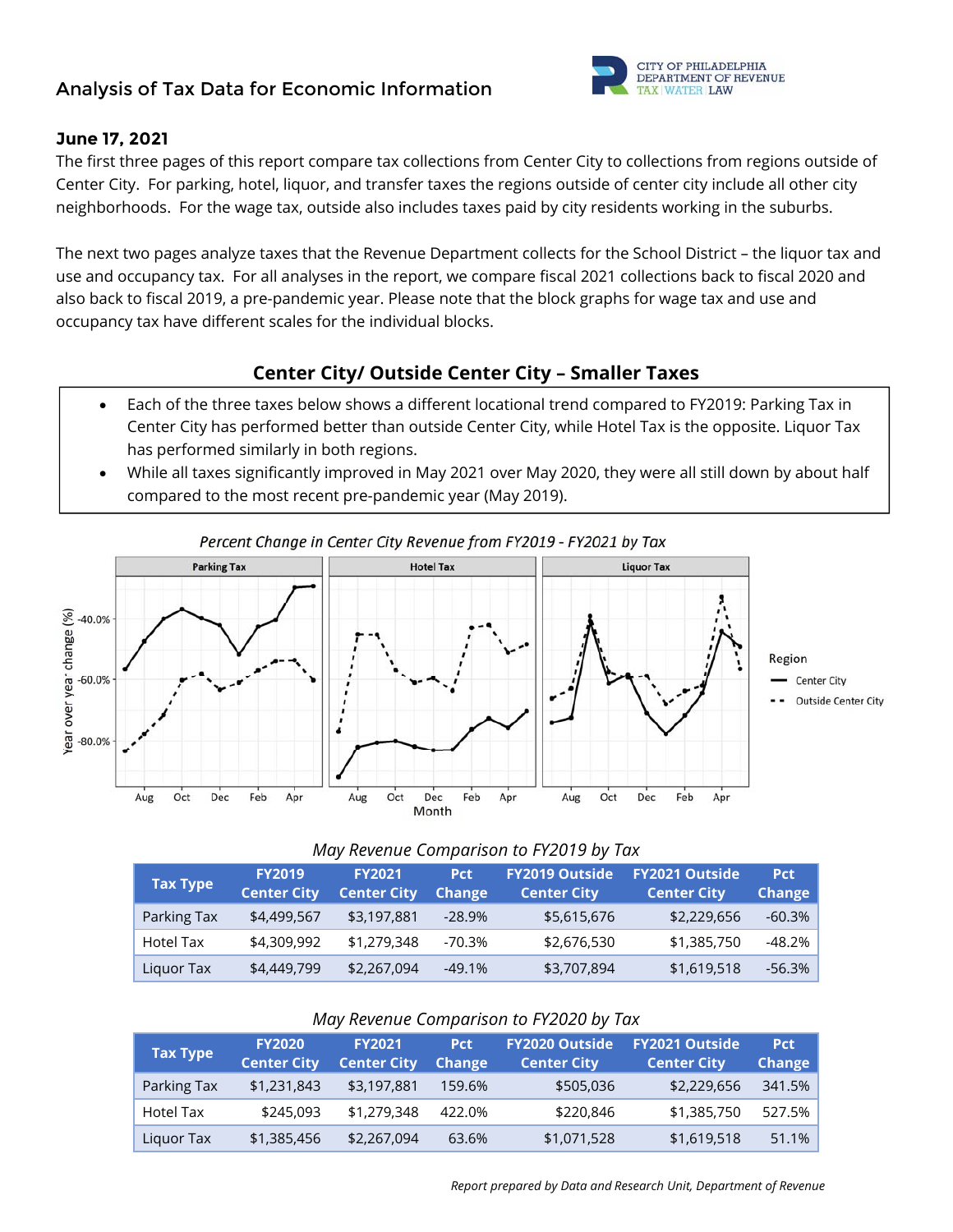# **Analysis of Tax Data for Economic Information**



#### **June 17, 2021**

The first three pages of this report compare tax collections from Center City to collections from regions outside of Center City. For parking, hotel, liquor, and transfer taxes the regions outside of center city include all other city neighborhoods. For the wage tax, outside also includes taxes paid by city residents working in the suburbs.

The next two pages analyze taxes that the Revenue Department collects for the School District – the liquor tax and use and occupancy tax. For all analyses in the report, we compare fiscal 2021 collections back to fiscal 2020 and also back to fiscal 2019, a pre-pandemic year. Please note that the block graphs for wage tax and use and occupancy tax have different scales for the individual blocks.

# **Center City/ Outside Center City – Smaller Taxes**

- Each of the three taxes below shows a different locational trend compared to FY2019: Parking Tax in Center City has performed better than outside Center City, while Hotel Tax is the opposite. Liquor Tax has performed similarly in both regions.
- While all taxes significantly improved in May 2021 over May 2020, they were all still down by about half compared to the most recent pre-pandemic year (May 2019).



### Percent Change in Center City Revenue from FY2019 - FY2021 by Tax

#### *May Revenue Comparison to FY2019 by Tax*

| <b>Tax Type</b> | <b>FY2019</b><br><b>Center City</b> | <b>FY2021</b><br><b>Center City</b> | <b>Pct</b><br><b>Change</b> | <b>FY2019 Outside</b><br><b>Center City</b> | <b>FY2021 Outside</b><br><b>Center City</b> | <b>Pct</b><br><b>Change</b> |
|-----------------|-------------------------------------|-------------------------------------|-----------------------------|---------------------------------------------|---------------------------------------------|-----------------------------|
| Parking Tax     | \$4,499,567                         | \$3,197,881                         | $-28.9\%$                   | \$5,615,676                                 | \$2,229,656                                 | $-60.3\%$                   |
| Hotel Tax       | \$4,309,992                         | \$1,279,348                         | $-70.3%$                    | \$2,676,530                                 | \$1,385,750                                 | -48.2%                      |
| Liquor Tax      | \$4,449,799                         | \$2,267,094                         | $-49.1%$                    | \$3,707,894                                 | \$1,619,518                                 | $-56.3%$                    |

#### *May Revenue Comparison to FY2020 by Tax*

| <b>Tax Type</b> | <b>FY2020</b><br><b>Center City</b> | <b>FY2021</b><br><b>Center City</b> | <b>Pct</b><br>Change | <b>FY2020 Outside</b><br><b>Center City</b> | <b>FY2021 Outside</b><br><b>Center City</b> | <b>Pct</b><br><b>Change</b> |
|-----------------|-------------------------------------|-------------------------------------|----------------------|---------------------------------------------|---------------------------------------------|-----------------------------|
| Parking Tax     | \$1,231,843                         | \$3,197,881                         | 159.6%               | \$505,036                                   | \$2,229,656                                 | 341.5%                      |
| Hotel Tax       | \$245,093                           | \$1,279,348                         | 422.0%               | \$220,846                                   | \$1,385,750                                 | 527.5%                      |
| Liguor Tax      | \$1,385,456                         | \$2,267,094                         | 63.6%                | \$1,071,528                                 | \$1,619,518                                 | 51.1%                       |

 *Report prepared by Data and Research Unit, Department of Revenue*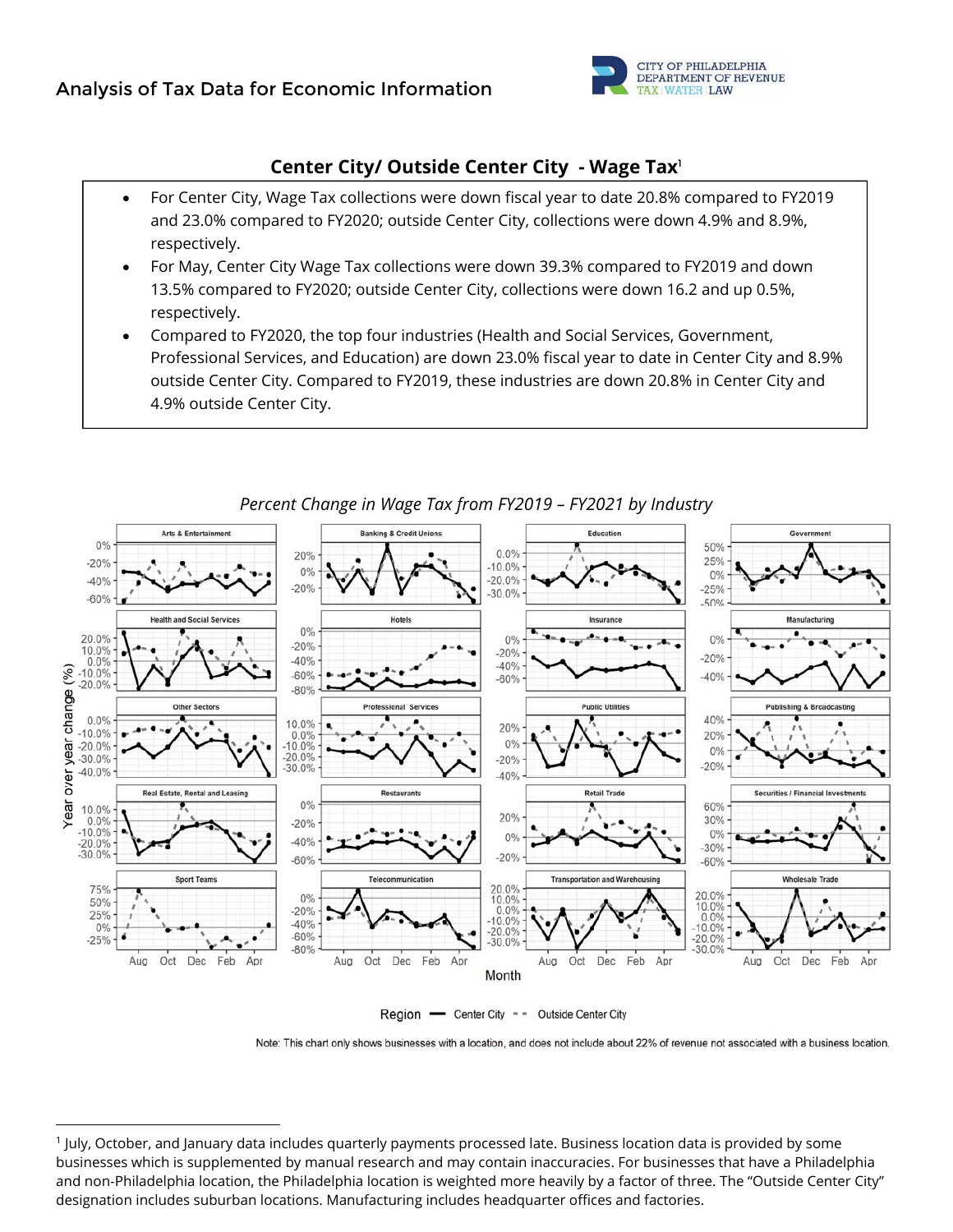

# **Center City/ Outside Center City - Wage Tax**<sup>1</sup>

- For Center City, Wage Tax collections were down fiscal year to date 20.8% compared to FY2019 and 23.0% compared to FY2020; outside Center City, collections were down 4.9% and 8.9%, respectively.
- For May, Center City Wage Tax collections were down 39.3% compared to FY2019 and down 13.5% compared to FY2020; outside Center City, collections were down 16.2 and up 0.5%, respectively.
- Compared to FY2020, the top four industries (Health and Social Services, Government, Professional Services, and Education) are down 23.0% fiscal year to date in Center City and 8.9% outside Center City. Compared to FY2019, these industries are down 20.8% in Center City and 4.9% outside Center City.



## *Percent Change in Wage Tax from FY2019 – FY2021 by Industry*



Note: This chart only shows businesses with a location, and does not include about 22% of revenue not associated with a business location.

<sup>1</sup> July, October, and January data includes quarterly payments processed late. Business location data is provided by some businesses which is supplemented by manual research and may contain inaccuracies. For businesses that have a Philadelphia and non‐Philadelphia location, the Philadelphia location is weighted more heavily by a factor of three. The "Outside Center City" designation includes suburban locations. Manufacturing includes headquarter offices and factories.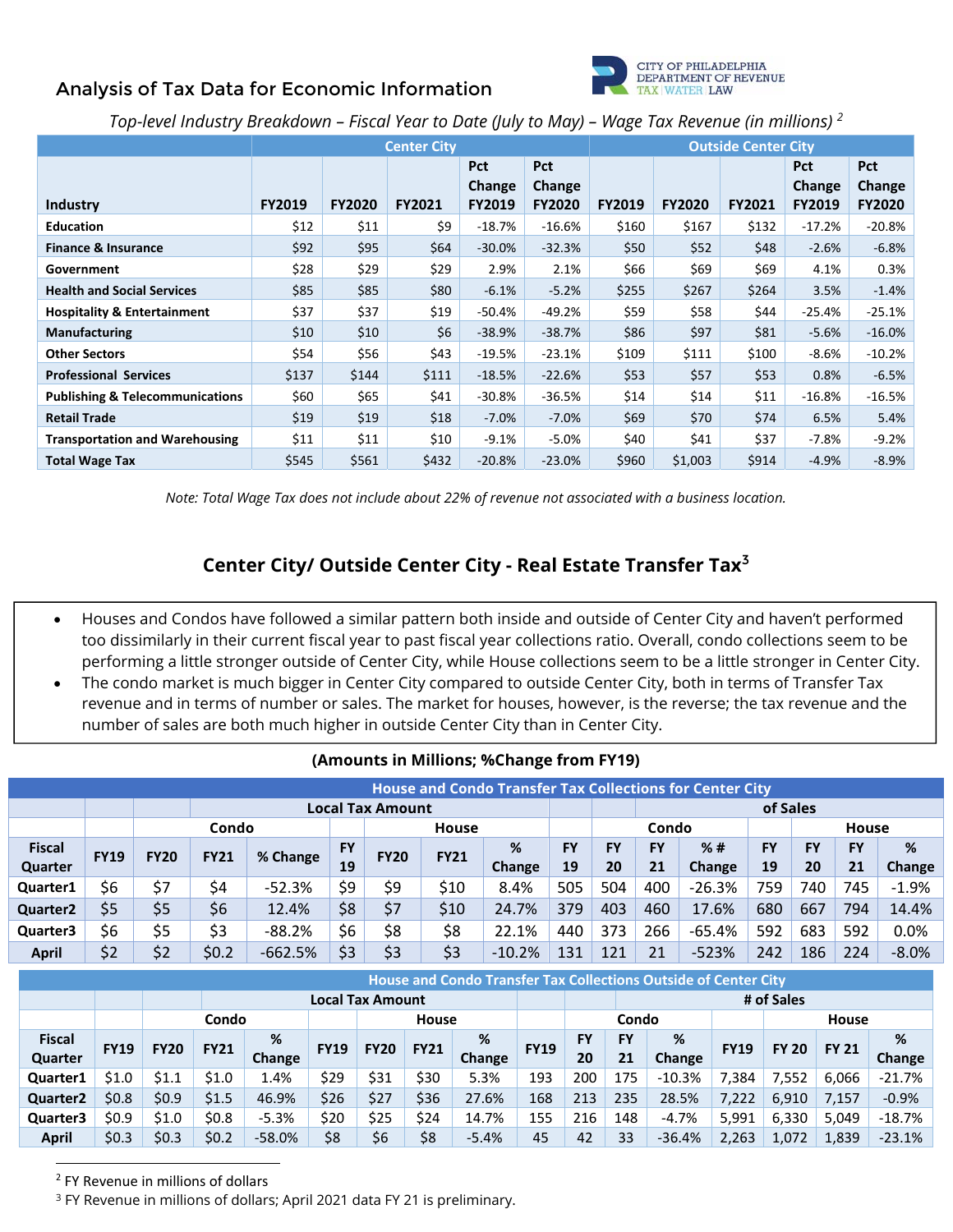# **Analysis of Tax Data for Economic Information**



*Top-level Industry Breakdown – Fiscal Year to Date (July to May) – Wage Tax Revenue (in millions) 2*

|                                            |               |               | <b>Center City</b> |                                              | <b>Outside Center City</b>     |               |               |               |                                       |                                |  |
|--------------------------------------------|---------------|---------------|--------------------|----------------------------------------------|--------------------------------|---------------|---------------|---------------|---------------------------------------|--------------------------------|--|
| Industry                                   | <b>FY2019</b> | <b>FY2020</b> | <b>FY2021</b>      | <b>Pct</b><br><b>Change</b><br><b>FY2019</b> | Pct<br>Change<br><b>FY2020</b> | <b>FY2019</b> | <b>FY2020</b> | <b>FY2021</b> | <b>Pct</b><br>Change<br><b>FY2019</b> | <b>Pct</b><br>Change<br>FY2020 |  |
| <b>Education</b>                           | \$12          | \$11          | \$9                | $-18.7\%$                                    | $-16.6%$                       | \$160         | \$167         | \$132         | $-17.2%$                              | $-20.8%$                       |  |
| <b>Finance &amp; Insurance</b>             | \$92          | \$95          | \$64               | $-30.0%$                                     | $-32.3%$                       | \$50          | \$52          | \$48          | $-2.6%$                               | $-6.8%$                        |  |
| Government                                 | \$28          | \$29          | \$29               | 2.9%                                         | 2.1%                           | \$66          | \$69          | \$69          | 4.1%                                  | 0.3%                           |  |
| <b>Health and Social Services</b>          | \$85          | \$85          | \$80               | $-6.1%$                                      | $-5.2%$                        | \$255         | \$267         | \$264         | 3.5%                                  | $-1.4%$                        |  |
| <b>Hospitality &amp; Entertainment</b>     | \$37          | \$37          | \$19               | $-50.4%$                                     | -49.2%                         | \$59          | \$58          | \$44          | -25.4%                                | $-25.1%$                       |  |
| <b>Manufacturing</b>                       | \$10          | \$10          | \$6                | $-38.9%$                                     | $-38.7%$                       | \$86          | \$97          | \$81          | $-5.6%$                               | $-16.0%$                       |  |
| <b>Other Sectors</b>                       | \$54          | \$56          | \$43               | $-19.5%$                                     | $-23.1%$                       | \$109         | \$111         | \$100         | $-8.6%$                               | $-10.2%$                       |  |
| <b>Professional Services</b>               | \$137         | \$144         | \$111              | $-18.5%$                                     | $-22.6%$                       | \$53          | \$57          | \$53          | 0.8%                                  | $-6.5%$                        |  |
| <b>Publishing &amp; Telecommunications</b> | \$60          | \$65          | \$41               | $-30.8%$                                     | $-36.5%$                       | \$14          | \$14          | \$11          | $-16.8\%$                             | $-16.5%$                       |  |
| <b>Retail Trade</b>                        | \$19          | \$19          | \$18               | $-7.0%$                                      | $-7.0%$                        | \$69          | \$70          | \$74          | 6.5%                                  | 5.4%                           |  |
| <b>Transportation and Warehousing</b>      | \$11          | \$11          | \$10               | $-9.1%$                                      | -5.0%                          | \$40          | \$41          | \$37          | -7.8%                                 | $-9.2%$                        |  |
| <b>Total Wage Tax</b>                      | \$545         | \$561         | \$432              | $-20.8%$                                     | $-23.0%$                       | \$960         | \$1,003       | \$914         | $-4.9%$                               | $-8.9%$                        |  |

*Note: Total Wage Tax does not include about 22% of revenue not associated with a business location.* 

# **Center City/ Outside Center City - Real Estate Transfer Tax**<sup>3</sup>

- Houses and Condos have followed a similar pattern both inside and outside of Center City and haven't performed too dissimilarly in their current fiscal year to past fiscal year collections ratio. Overall, condo collections seem to be performing a little stronger outside of Center City, while House collections seem to be a little stronger in Center City.
- The condo market is much bigger in Center City compared to outside Center City, both in terms of Transfer Tax revenue and in terms of number or sales. The market for houses, however, is the reverse; the tax revenue and the number of sales are both much higher in outside Center City than in Center City.

|               | <b>House and Condo Transfer Tax Collections for Center City</b> |             |             |           |           |                         |             |          |           |           |           |          |           |           |              |         |
|---------------|-----------------------------------------------------------------|-------------|-------------|-----------|-----------|-------------------------|-------------|----------|-----------|-----------|-----------|----------|-----------|-----------|--------------|---------|
|               |                                                                 |             |             |           |           | <b>Local Tax Amount</b> |             |          |           |           |           |          | of Sales  |           |              |         |
|               |                                                                 |             | Condo       |           |           |                         | House       |          |           |           | Condo     |          |           |           | <b>House</b> |         |
| <b>Fiscal</b> | <b>FY19</b>                                                     | <b>FY20</b> | <b>FY21</b> | % Change  | <b>FY</b> | <b>FY20</b>             | <b>FY21</b> | %        | <b>FY</b> | <b>FY</b> | <b>FY</b> | %#       | <b>FY</b> | <b>FY</b> | <b>FY</b>    | %       |
| Quarter       |                                                                 |             |             |           | 19        |                         |             | Change   | 19        | 20        | 21        | Change   | 19        | 20        | 21           | Change  |
| Quarter1      | \$6                                                             | \$7         | \$4         | $-52.3%$  | \$9       | \$9                     | \$10        | 8.4%     | 505       | 504       | 400       | $-26.3%$ | 759       | 740       | 745          | $-1.9%$ |
| Quarter2      | \$5                                                             | \$5         | \$6         | 12.4%     | \$8       | \$7                     | \$10        | 24.7%    | 379       | 403       | 460       | 17.6%    | 680       | 667       | 794          | 14.4%   |
| Quarter3      | \$6                                                             | \$5         | \$3         | $-88.2%$  | \$6       | \$8                     | \$8         | 22.1%    | 440       | 373       | 266       | $-65.4%$ | 592       | 683       | 592          | 0.0%    |
| <b>April</b>  | \$2                                                             | \$2         | \$0.2       | $-662.5%$ | \$3       | \$3                     | \$3         | $-10.2%$ | 131       | 121       | 21        | $-523%$  | 242       | 186       | 224          | $-8.0%$ |

#### **(Amounts in Millions; %Change from FY19)**

|                 | <b>House and Condo Transfer Tax Collections Outside of Center City</b> |             |             |          |             |                         |              |         |             |           |           |          |             |              |              |           |
|-----------------|------------------------------------------------------------------------|-------------|-------------|----------|-------------|-------------------------|--------------|---------|-------------|-----------|-----------|----------|-------------|--------------|--------------|-----------|
|                 |                                                                        |             |             |          |             | <b>Local Tax Amount</b> |              |         |             |           |           |          |             | # of Sales   |              |           |
|                 |                                                                        |             | Condo       |          |             |                         | <b>House</b> |         |             |           | Condo     |          |             |              | House        |           |
| <b>Fiscal</b>   | <b>FY19</b>                                                            | <b>FY20</b> | <b>FY21</b> | %        | <b>FY19</b> | <b>FY20</b>             | <b>FY21</b>  | %       | <b>FY19</b> | <b>FY</b> | <b>FY</b> | %        | <b>FY19</b> | <b>FY 20</b> | <b>FY 21</b> | %         |
| Quarter         |                                                                        |             |             | Change   |             |                         |              | Change  |             | 20        | 21        | Change   |             |              |              | Change    |
| Quarter1        | \$1.0                                                                  | \$1.1       | \$1.0       | 1.4%     | \$29        | \$31                    | \$30         | 5.3%    | 193         | 200       | 175       | $-10.3%$ | 7,384       | 7,552        | 6,066        | -21.7%    |
| <b>Quarter2</b> | \$0.8                                                                  | \$0.9       | \$1.5       | 46.9%    | \$26        | \$27                    | \$36         | 27.6%   | 168         | 213       | 235       | 28.5%    | 7,222       | 6,910        | 7,157        | $-0.9%$   |
| Quarter3        | \$0.9                                                                  | \$1.0       | \$0.8\$     | $-5.3%$  | \$20        | \$25                    | \$24         | 14.7%   | 155         | 216       | 148       | $-4.7%$  | 5,991       | 6,330        | 5,049        | $-18.7\%$ |
| <b>April</b>    | \$0.3                                                                  | \$0.3       | \$0.2       | $-58.0%$ | \$8         | \$6                     | \$8          | $-5.4%$ | 45          | 42        | 33        | $-36.4%$ | 2,263       | 1,072        | 1,839        | $-23.1%$  |

 <sup>2</sup> FY Revenue in millions of dollars

<sup>3</sup> FY Revenue in millions of dollars; April 2021 data FY 21 is preliminary.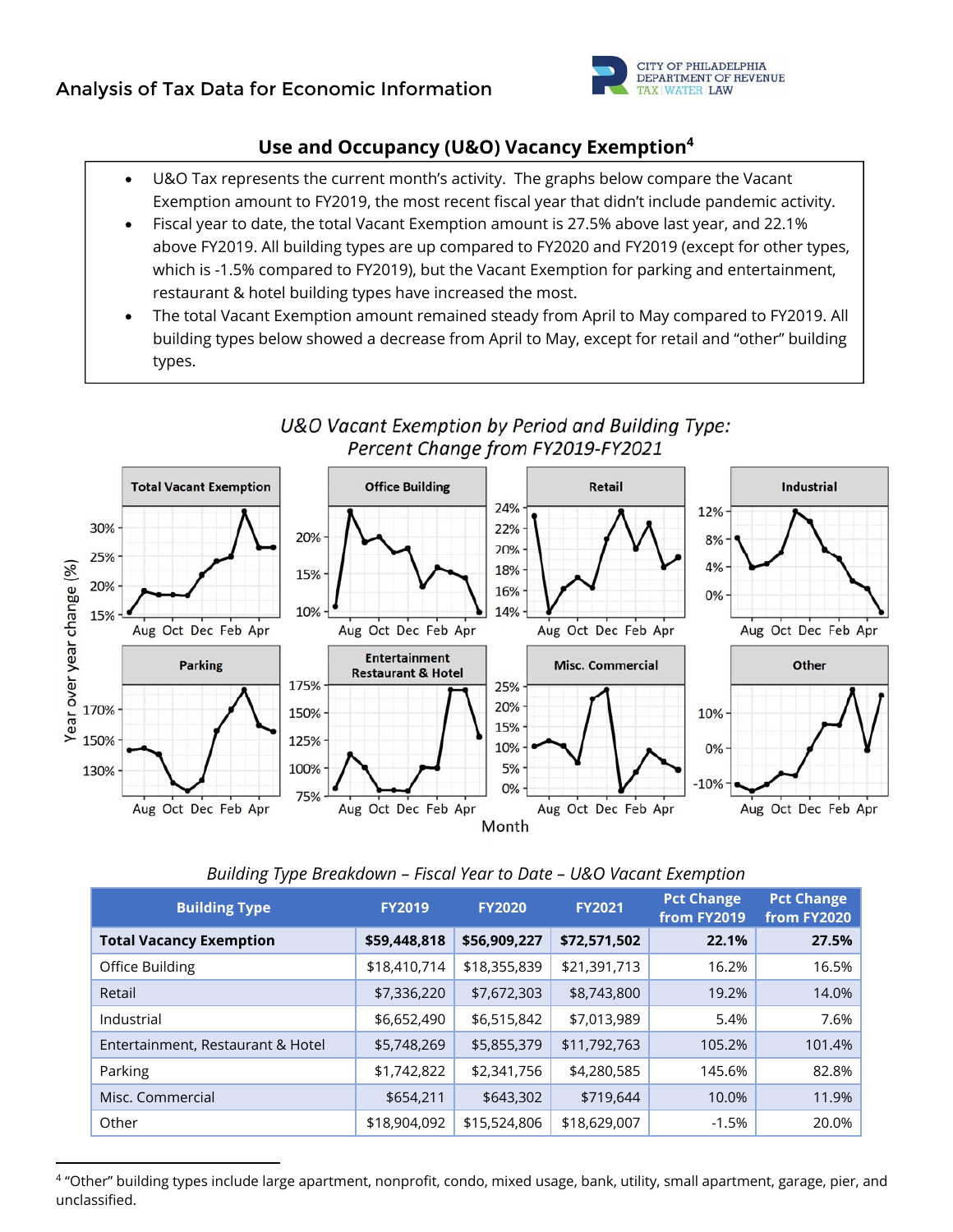

# **Use and Occupancy (U&O) Vacancy Exemption4**

- U&O Tax represents the current month's activity. The graphs below compare the Vacant Exemption amount to FY2019, the most recent fiscal year that didn't include pandemic activity.
- Fiscal year to date, the total Vacant Exemption amount is 27.5% above last year, and 22.1% above FY2019. All building types are up compared to FY2020 and FY2019 (except for other types, which is -1.5% compared to FY2019), but the Vacant Exemption for parking and entertainment, restaurant & hotel building types have increased the most.
- The total Vacant Exemption amount remained steady from April to May compared to FY2019. All building types below showed a decrease from April to May, except for retail and "other" building types.



# U&O Vacant Exemption by Period and Building Type: Percent Change from FY2019-FY2021

#### *Building Type Breakdown – Fiscal Year to Date – U&O Vacant Exemption*

| <b>Building Type</b>              | <b>FY2019</b> | <b>FY2020</b> | <b>FY2021</b> | <b>Pct Change</b><br>from FY2019 | <b>Pct Change</b><br>from FY2020 |
|-----------------------------------|---------------|---------------|---------------|----------------------------------|----------------------------------|
| <b>Total Vacancy Exemption</b>    | \$59,448,818  | \$56,909,227  | \$72,571,502  | 22.1%                            | 27.5%                            |
| Office Building                   | \$18,410,714  | \$18,355,839  | \$21,391,713  | 16.2%                            | 16.5%                            |
| Retail                            | \$7,336,220   | \$7,672,303   | \$8,743,800   | 19.2%                            | 14.0%                            |
| Industrial                        | \$6,652,490   | \$6,515,842   | \$7,013,989   | 5.4%                             | 7.6%                             |
| Entertainment, Restaurant & Hotel | \$5,748,269   | \$5,855,379   | \$11,792,763  | 105.2%                           | 101.4%                           |
| Parking                           | \$1,742,822   | \$2,341,756   | \$4,280,585   | 145.6%                           | 82.8%                            |
| Misc. Commercial                  | \$654,211     | \$643,302     | \$719,644     | 10.0%                            | 11.9%                            |
| Other                             | \$18,904,092  | \$15,524,806  | \$18,629,007  | $-1.5%$                          | 20.0%                            |

<sup>4 &</sup>quot;Other" building types include large apartment, nonprofit, condo, mixed usage, bank, utility, small apartment, garage, pier, and unclassified.